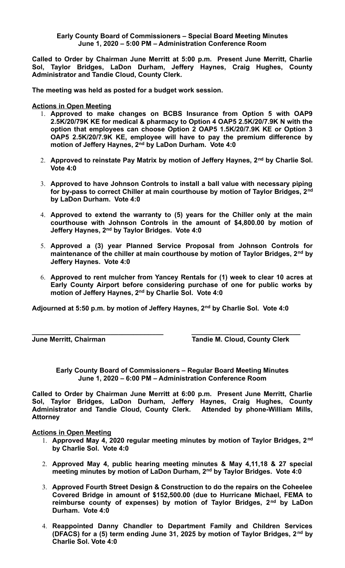## **Early County Board of Commissioners – Special Board Meeting Minutes June 1, 2020 – 5:00 PM – Administration Conference Room**

**Called to Order by Chairman June Merritt at 5:00 p.m. Present June Merritt, Charlie Sol, Taylor Bridges, LaDon Durham, Jeffery Haynes, Craig Hughes, County Administrator and Tandie Cloud, County Clerk.** 

**The meeting was held as posted for a budget work session.**

**Actions in Open Meeting**

- 1. **Approved to make changes on BCBS Insurance from Option 5 with OAP9 2.5K/20/79K KE for medical & pharmacy to Option 4 OAP5 2.5K/20/7.9K N with the option that employees can choose Option 2 OAP5 1.5K/20/7.9K KE or Option 3 OAP5 2.5K/20/7.9K KE, employee will have to pay the premium difference by motion of Jeffery Haynes, 2nd by LaDon Durham. Vote 4:0**
- 2. **Approved to reinstate Pay Matrix by motion of Jeffery Haynes, 2nd by Charlie Sol. Vote 4:0**
- 3. **Approved to have Johnson Controls to install a ball value with necessary piping for by-pass to correct Chiller at main courthouse by motion of Taylor Bridges, 2nd by LaDon Durham. Vote 4:0**
- 4. **Approved to extend the warranty to (5) years for the Chiller only at the main courthouse with Johnson Controls in the amount of \$4,800.00 by motion of Jeffery Haynes, 2nd by Taylor Bridges. Vote 4:0**
- 5. **Approved a (3) year Planned Service Proposal from Johnson Controls for maintenance of the chiller at main courthouse by motion of Taylor Bridges, 2nd by Jeffery Haynes. Vote 4:0**
- 6. **Approved to rent mulcher from Yancey Rentals for (1) week to clear 10 acres at Early County Airport before considering purchase of one for public works by motion of Jeffery Haynes, 2nd by Charlie Sol. Vote 4:0**

**Adjourned at 5:50 p.m. by motion of Jeffery Haynes, 2nd by Charlie Sol. Vote 4:0**

**\_\_\_\_\_\_\_\_\_\_\_\_\_\_\_\_\_\_\_\_\_\_\_\_\_\_\_\_\_\_\_\_\_\_\_ \_\_\_\_\_\_\_\_\_\_\_\_\_\_\_\_\_\_\_\_\_\_\_\_\_\_\_\_\_**

**June Merritt, Chairman Tandie M. Cloud, County Clerk**

**Early County Board of Commissioners – Regular Board Meeting Minutes June 1, 2020 – 6:00 PM – Administration Conference Room**

**Called to Order by Chairman June Merritt at 6:00 p.m. Present June Merritt, Charlie Sol, Taylor Bridges, LaDon Durham, Jeffery Haynes, Craig Hughes, County Administrator and Tandie Cloud, County Clerk. Attended by phone-William Mills, Attorney**

## **Actions in Open Meeting**

- 1. **Approved May 4, 2020 regular meeting minutes by motion of Taylor Bridges, 2nd by Charlie Sol. Vote 4:0**
- 2. **Approved May 4, public hearing meeting minutes & May 4,11,18 & 27 special meeting minutes by motion of LaDon Durham, 2nd by Taylor Bridges. Vote 4:0**
- 3. **Approved Fourth Street Design & Construction to do the repairs on the Coheelee Covered Bridge in amount of \$152,500.00 (due to Hurricane Michael, FEMA to reimburse county of expenses) by motion of Taylor Bridges, 2nd by LaDon Durham. Vote 4:0**
- 4. **Reappointed Danny Chandler to Department Family and Children Services (DFACS) for a (5) term ending June 31, 2025 by motion of Taylor Bridges, 2nd by Charlie Sol. Vote 4:0**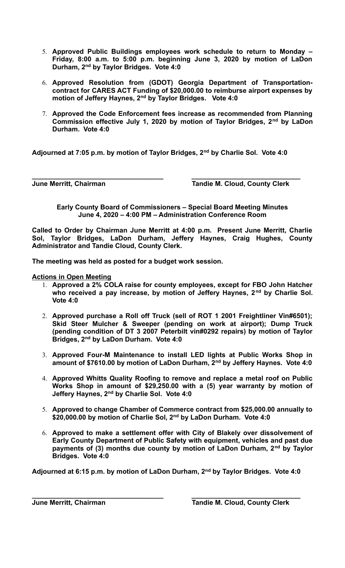- 5. **Approved Public Buildings employees work schedule to return to Monday – Friday, 8:00 a.m. to 5:00 p.m. beginning June 3, 2020 by motion of LaDon Durham, 2nd by Taylor Bridges. Vote 4:0**
- 6. **Approved Resolution from (GDOT) Georgia Department of Transportationcontract for CARES ACT Funding of \$20,000.00 to reimburse airport expenses by motion of Jeffery Haynes, 2nd by Taylor Bridges. Vote 4:0**
- 7. **Approved the Code Enforcement fees increase as recommended from Planning Commission effective July 1, 2020 by motion of Taylor Bridges, 2nd by LaDon Durham. Vote 4:0**

**Adjourned at 7:05 p.m. by motion of Taylor Bridges, 2nd by Charlie Sol. Vote 4:0**

**\_\_\_\_\_\_\_\_\_\_\_\_\_\_\_\_\_\_\_\_\_\_\_\_\_\_\_\_\_\_\_\_\_\_\_ \_\_\_\_\_\_\_\_\_\_\_\_\_\_\_\_\_\_\_\_\_\_\_\_\_\_\_\_\_ June Merritt, Chairman Community Clerk** Tandie M. Cloud, County Clerk

**Early County Board of Commissioners – Special Board Meeting Minutes June 4, 2020 – 4:00 PM – Administration Conference Room**

**Called to Order by Chairman June Merritt at 4:00 p.m. Present June Merritt, Charlie Sol, Taylor Bridges, LaDon Durham, Jeffery Haynes, Craig Hughes, County Administrator and Tandie Cloud, County Clerk.** 

**The meeting was held as posted for a budget work session.**

## **Actions in Open Meeting**

- 1. **Approved a 2% COLA raise for county employees, except for FBO John Hatcher who received a pay increase, by motion of Jeffery Haynes, 2nd by Charlie Sol. Vote 4:0**
- 2. **Approved purchase a Roll off Truck (sell of ROT 1 2001 Freightliner Vin#6501); Skid Steer Mulcher & Sweeper (pending on work at airport); Dump Truck (pending condition of DT 3 2007 Peterbilt vin#0292 repairs) by motion of Taylor Bridges, 2nd by LaDon Durham. Vote 4:0**
- 3. **Approved Four-M Maintenance to install LED lights at Public Works Shop in amount of \$7610.00 by motion of LaDon Durham, 2nd by Jeffery Haynes. Vote 4:0**
- 4. **Approved Whitts Quality Roofing to remove and replace a metal roof on Public Works Shop in amount of \$29,250.00 with a (5) year warranty by motion of Jeffery Haynes, 2nd by Charlie Sol. Vote 4:0**
- 5. **Approved to change Chamber of Commerce contract from \$25,000.00 annually to \$20,000.00 by motion of Charlie Sol, 2nd by LaDon Durham. Vote 4:0**
- 6. **Approved to make a settlement offer with City of Blakely over dissolvement of Early County Department of Public Safety with equipment, vehicles and past due payments of (3) months due county by motion of LaDon Durham, 2nd by Taylor Bridges. Vote 4:0**

**Adjourned at 6:15 p.m. by motion of LaDon Durham, 2nd by Taylor Bridges. Vote 4:0**

**\_\_\_\_\_\_\_\_\_\_\_\_\_\_\_\_\_\_\_\_\_\_\_\_\_\_\_\_\_\_\_\_\_\_\_ \_\_\_\_\_\_\_\_\_\_\_\_\_\_\_\_\_\_\_\_\_\_\_\_\_\_\_\_\_**